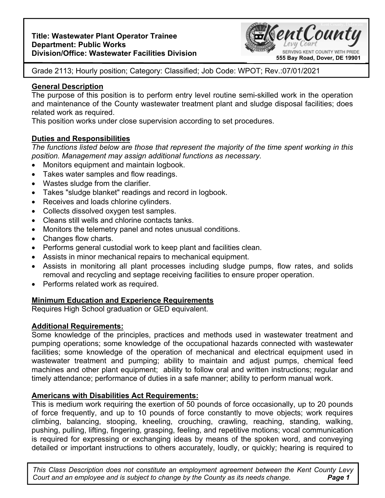### **Title: Wastewater Plant Operator Trainee Department: Public Works Division/Office: Wastewater Facilities Division**



Grade 2113; Hourly position; Category: Classified; Job Code: WPOT; Rev.:07/01/2021

# **General Description**

The purpose of this position is to perform entry level routine semi-skilled work in the operation and maintenance of the County wastewater treatment plant and sludge disposal facilities; does related work as required.

This position works under close supervision according to set procedures.

# **Duties and Responsibilities**

*The functions listed below are those that represent the majority of the time spent working in this position. Management may assign additional functions as necessary.* 

- Monitors equipment and maintain logbook.
- Takes water samples and flow readings.
- Wastes sludge from the clarifier.
- Takes "sludge blanket" readings and record in logbook.
- Receives and loads chlorine cylinders.
- Collects dissolved oxygen test samples.
- Cleans still wells and chlorine contacts tanks.
- Monitors the telemetry panel and notes unusual conditions.
- Changes flow charts.
- Performs general custodial work to keep plant and facilities clean.
- Assists in minor mechanical repairs to mechanical equipment.
- Assists in monitoring all plant processes including sludge pumps, flow rates, and solids removal and recycling and septage receiving facilities to ensure proper operation.
- Performs related work as required.

# **Minimum Education and Experience Requirements**

Requires High School graduation or GED equivalent.

# **Additional Requirements:**

Some knowledge of the principles, practices and methods used in wastewater treatment and pumping operations; some knowledge of the occupational hazards connected with wastewater facilities; some knowledge of the operation of mechanical and electrical equipment used in wastewater treatment and pumping; ability to maintain and adjust pumps, chemical feed machines and other plant equipment; ability to follow oral and written instructions; regular and timely attendance; performance of duties in a safe manner; ability to perform manual work.

# **Americans with Disabilities Act Requirements:**

This is medium work requiring the exertion of 50 pounds of force occasionally, up to 20 pounds of force frequently, and up to 10 pounds of force constantly to move objects; work requires climbing, balancing, stooping, kneeling, crouching, crawling, reaching, standing, walking, pushing, pulling, lifting, fingering, grasping, feeling, and repetitive motions; vocal communication is required for expressing or exchanging ideas by means of the spoken word, and conveying detailed or important instructions to others accurately, loudly, or quickly; hearing is required to

**Page 1** *This Class Description does not constitute an employment agreement between the Kent County Levy Court and an employee and is subject to change by the County as its needs change.*